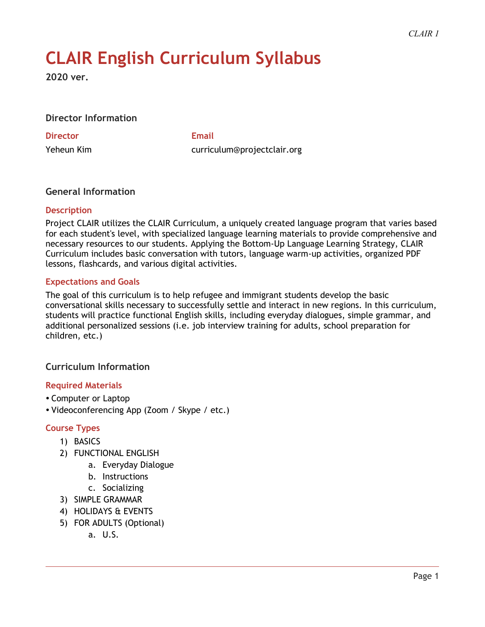# **CLAIR English Curriculum Syllabus**

**2020 ver.**

**Director Information**

**Director Email**

Yeheun Kim curriculum@projectclair.org

## **General Information**

#### **Description**

Project CLAIR utilizes the CLAIR Curriculum, a uniquely created language program that varies based for each student's level, with specialized language learning materials to provide comprehensive and necessary resources to our students. Applying the Bottom-Up Language Learning Strategy, CLAIR Curriculum includes basic conversation with tutors, language warm-up activities, organized PDF lessons, flashcards, and various digital activities.

#### **Expectations and Goals**

The goal of this curriculum is to help refugee and immigrant students develop the basic conversational skills necessary to successfully settle and interact in new regions. In this curriculum, students will practice functional English skills, including everyday dialogues, simple grammar, and additional personalized sessions (i.e. job interview training for adults, school preparation for children, etc.)

## **Curriculum Information**

## **Required Materials**

- Computer or Laptop
- Videoconferencing App (Zoom / Skype / etc.)

#### **Course Types**

- 1) BASICS
- 2) FUNCTIONAL ENGLISH
	- a. Everyday Dialogue
		- b. Instructions
		- c. Socializing
- 3) SIMPLE GRAMMAR
- 4) HOLIDAYS & EVENTS
- 5) FOR ADULTS (Optional)
	- a. U.S.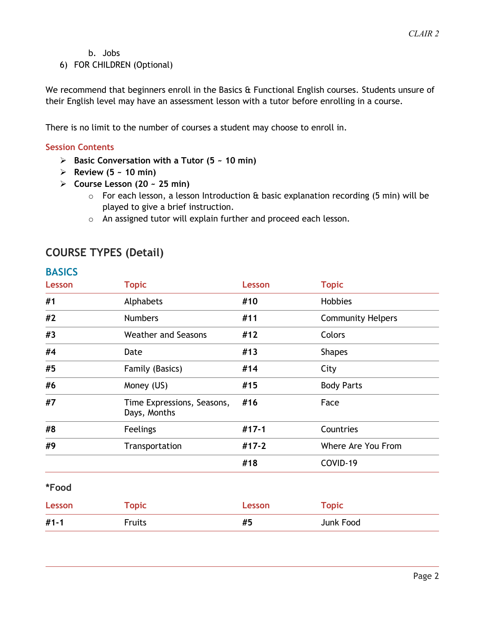b. Jobs

## 6) FOR CHILDREN (Optional)

We recommend that beginners enroll in the Basics & Functional English courses. Students unsure of their English level may have an assessment lesson with a tutor before enrolling in a course.

There is no limit to the number of courses a student may choose to enroll in.

## **Session Contents**

- **Basic Conversation with a Tutor (5 ~ 10 min)**
- **Review (5 ~ 10 min)**
- **Course Lesson (20 ~ 25 min)**
	- $\circ$  For each lesson, a lesson Introduction & basic explanation recording (5 min) will be played to give a brief instruction.
	- o An assigned tutor will explain further and proceed each lesson.

# **COURSE TYPES (Detail)**

| Lesson   | <b>Topic</b>                               | Lesson | <b>Topic</b>             |
|----------|--------------------------------------------|--------|--------------------------|
| #1       | Alphabets                                  | #10    | Hobbies                  |
| #2       | <b>Numbers</b>                             | #11    | <b>Community Helpers</b> |
| #3       | <b>Weather and Seasons</b>                 | #12    | Colors                   |
| #4       | Date                                       | #13    | <b>Shapes</b>            |
| #5       | Family (Basics)                            | #14    | City                     |
| #6       | Money (US)                                 | #15    | <b>Body Parts</b>        |
| #7       | Time Expressions, Seasons,<br>Days, Months | #16    | Face                     |
| #8       | Feelings                                   | #17-1  | Countries                |
| #9       | Transportation                             | #17-2  | Where Are You From       |
|          |                                            | #18    | COVID-19                 |
| *Food    |                                            |        |                          |
| Lesson   | <b>Topic</b>                               | Lesson | <b>Topic</b>             |
| $#1 - 1$ | Fruits                                     | #5     | Junk Food                |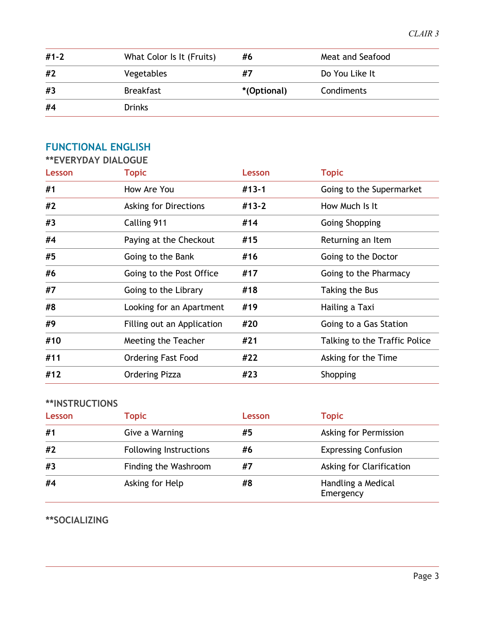| $#1 - 2$ | What Color Is It (Fruits) | #6          | Meat and Seafood |
|----------|---------------------------|-------------|------------------|
| #2       | Vegetables                | #7          | Do You Like It   |
| #3       | <b>Breakfast</b>          | *(Optional) | Condiments       |
| #4       | <b>Drinks</b>             |             |                  |

# **FUNCTIONAL ENGLISH**

## **\*\*EVERYDAY DIALOGUE**

| Lesson | <b>Topic</b>               | Lesson | <b>Topic</b>                  |
|--------|----------------------------|--------|-------------------------------|
| #1     | How Are You                | #13-1  | Going to the Supermarket      |
| #2     | Asking for Directions      | #13-2  | How Much Is It                |
| #3     | Calling 911                | #14    | <b>Going Shopping</b>         |
| #4     | Paying at the Checkout     | #15    | Returning an Item             |
| #5     | Going to the Bank          | #16    | Going to the Doctor           |
| #6     | Going to the Post Office   | #17    | Going to the Pharmacy         |
| #7     | Going to the Library       | #18    | Taking the Bus                |
| #8     | Looking for an Apartment   | #19    | Hailing a Taxi                |
| #9     | Filling out an Application | #20    | Going to a Gas Station        |
| #10    | Meeting the Teacher        | #21    | Talking to the Traffic Police |
| #11    | <b>Ordering Fast Food</b>  | #22    | Asking for the Time           |
| #12    | <b>Ordering Pizza</b>      | #23    | Shopping                      |

## **\*\*INSTRUCTIONS**

| Lesson | <b>Topic</b>                  | Lesson | <b>Topic</b>                    |
|--------|-------------------------------|--------|---------------------------------|
| #1     | Give a Warning                | #5     | Asking for Permission           |
| #2     | <b>Following Instructions</b> | #6     | <b>Expressing Confusion</b>     |
| #3     | Finding the Washroom          | #7     | Asking for Clarification        |
| #4     | Asking for Help               | #8     | Handling a Medical<br>Emergency |

## **\*\*SOCIALIZING**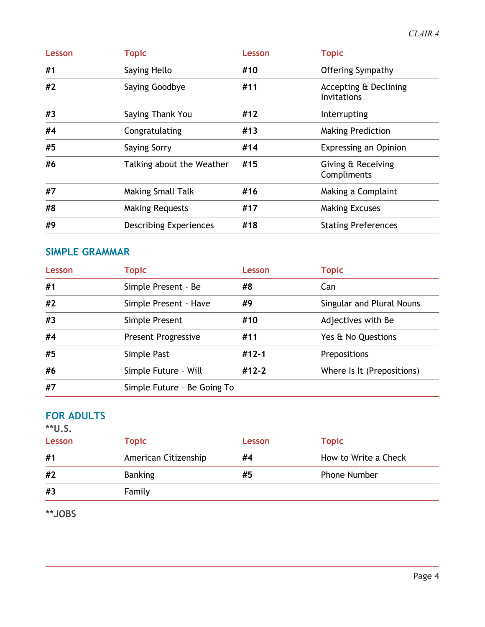| Lesson | <b>Topic</b>                  | Lesson | <b>Topic</b>                                |
|--------|-------------------------------|--------|---------------------------------------------|
| #1     | Saying Hello                  | #10    | Offering Sympathy                           |
| #2     | Saying Goodbye                | #11    | Accepting & Declining<br><b>Invitations</b> |
| #3     | Saying Thank You              | #12    | Interrupting                                |
| #4     | Congratulating                | #13    | <b>Making Prediction</b>                    |
| #5     | <b>Saying Sorry</b>           | #14    | <b>Expressing an Opinion</b>                |
| #6     | Talking about the Weather     | #15    | Giving & Receiving<br>Compliments           |
| #7     | <b>Making Small Talk</b>      | #16    | Making a Complaint                          |
| #8     | <b>Making Requests</b>        | #17    | <b>Making Excuses</b>                       |
| #9     | <b>Describing Experiences</b> | #18    | <b>Stating Preferences</b>                  |

## **SIMPLE GRAMMAR**

| Lesson | <b>Topic</b>                | Lesson    | <b>Topic</b>               |
|--------|-----------------------------|-----------|----------------------------|
| #1     | Simple Present - Be         | #8        | Can                        |
| #2     | Simple Present - Have       | #9        | Singular and Plural Nouns  |
| #3     | Simple Present              | #10       | Adjectives with Be         |
| #4     | <b>Present Progressive</b>  | #11       | Yes & No Questions         |
| #5     | Simple Past                 | $#12 - 1$ | Prepositions               |
| #6     | Simple Future - Will        | $#12-2$   | Where Is It (Prepositions) |
| #7     | Simple Future - Be Going To |           |                            |

## **FOR ADULTS \*\*U.S.**

| ືື∪.⊃.<br>Lesson | <b>Topic</b>         | Lesson | <b>Topic</b>         |
|------------------|----------------------|--------|----------------------|
| #1               | American Citizenship | #4     | How to Write a Check |
| #2               | <b>Banking</b>       | #5     | <b>Phone Number</b>  |
| #3               | Family               |        |                      |

**\*\*JOBS**